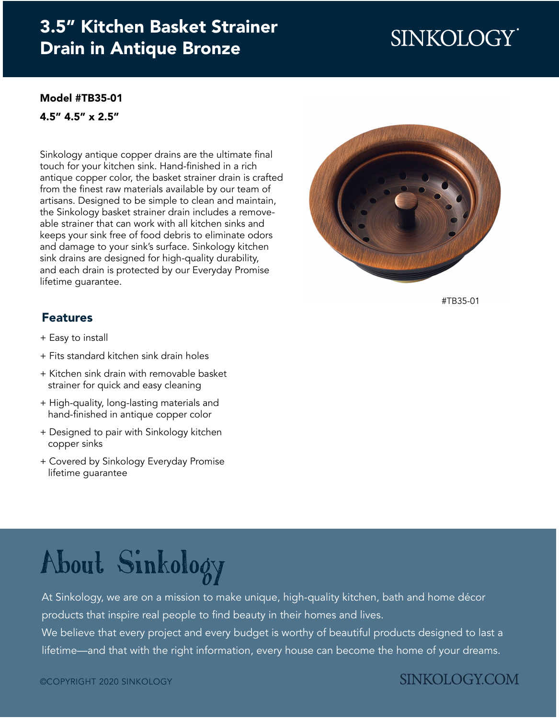## [3.5" Kitchen Basket Strainer](https://www.sinkology.com/kitchen-accessory/kitchen-basket-strainer-drain/) Drain in Antique Bronze

## SINKOLOGY®

#### [Model #TB35-01](https://www.sinkology.com/kitchen-accessory/kitchen-basket-strainer-drain/)

4.5" 4.5" x 2.5"

Sinkology antique copper drains are the ultimate final touch for your kitchen sink. Hand-finished in a rich antique copper color, the basket strainer drain is crafted from the finest raw materials available by our team of artisans. Designed to be simple to clean and maintain, the Sinkology basket strainer drain includes a removeable strainer that can work with all kitchen sinks and keeps your sink free of food debris to eliminate odors and damage to your sink's surface. Sinkology kitchen sink drains are designed for high-quality durability, and each drain is protected by our Everyday Promise lifetime guarantee.



[#TB35-01](https://www.sinkology.com/kitchen-accessory/kitchen-basket-strainer-drain/)

#### Features

- + Easy to install
- + Fits standard kitchen sink drain holes
- + Kitchen sink drain with removable basket strainer for quick and easy cleaning
- + High-quality, long-lasting materials and hand-finished in antique copper color
- + Designed to pair with Sinkology kitchen copper sinks
- + Covered by Sinkology Everyday Promise lifetime guarantee

# [About Sinkology](https://www.sinkology.com/about-sinkology/)

At Sinkology, we are on a mission to make unique, high-quality kitchen, bath and home décor products that inspire real people to find beauty in their homes and lives.

We believe that every project and every budget is worthy of beautiful products designed to last a lifetime—and that with the right information, every house can become the home of your dreams.

### **SINKOLOGY.COM**